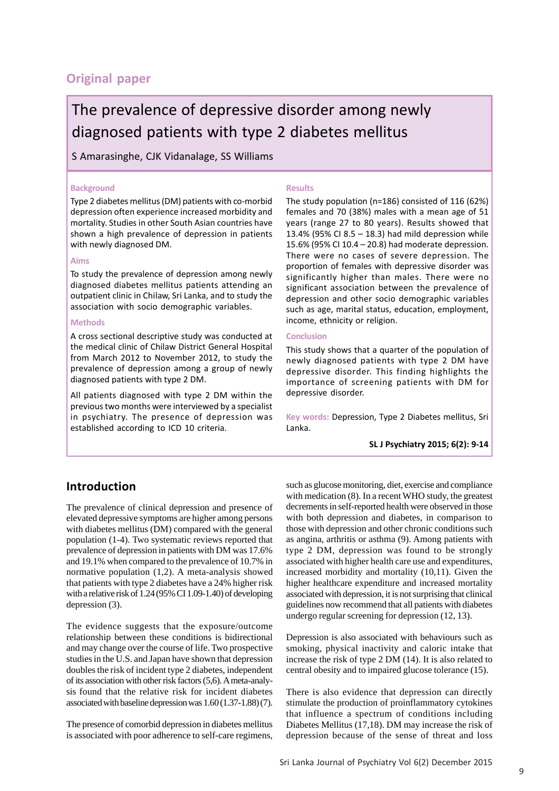# **Original paper**

# The prevalence of depressive disorder among newly diagnosed patients with type 2 diabetes mellitus

S Amarasinghe, CJK Vidanalage, SS Williams

### **Background**

Type 2 diabetes mellitus (DM) patients with co-morbid depression often experience increased morbidity and mortality. Studies in other South Asian countries have shown a high prevalence of depression in patients with newly diagnosed DM.

### **Aims**

To study the prevalence of depression among newly diagnosed diabetes mellitus patients attending an outpatient clinic in Chilaw, Sri Lanka, and to study the association with socio demographic variables.

### **Methods**

A cross sectional descriptive study was conducted at the medical clinic of Chilaw District General Hospital from March 2012 to November 2012, to study the prevalence of depression among a group of newly diagnosed patients with type 2 DM.

All patients diagnosed with type 2 DM within the previous two months were interviewed by a specialist in psychiatry. The presence of depression was established according to ICD 10 criteria.

### **Results**

The study population (n=186) consisted of 116 (62%) females and 70 (38%) males with a mean age of 51 years (range 27 to 80 years). Results showed that 13.4% (95% CI 8.5 – 18.3) had mild depression while 15.6% (95% CI 10.4 – 20.8) had moderate depression. There were no cases of severe depression. The proportion of females with depressive disorder was significantly higher than males. There were no significant association between the prevalence of depression and other socio demographic variables such as age, marital status, education, employment, income, ethnicity or religion.

### **Conclusion**

This study shows that a quarter of the population of newly diagnosed patients with type 2 DM have depressive disorder. This finding highlights the importance of screening patients with DM for depressive disorder.

**Key words:** Depression, Type 2 Diabetes mellitus, Sri Lanka.

**SL J Psychiatry 2015; 6(2): 9-14**

## **Introduction**

The prevalence of clinical depression and presence of elevated depressive symptoms are higher among persons with diabetes mellitus (DM) compared with the general population (1-4). Two systematic reviews reported that prevalence of depression in patients with DM was 17.6% and 19.1% when compared to the prevalence of 10.7% in normative population (1,2). A meta-analysis showed that patients with type 2 diabetes have a 24% higher risk with a relative risk of 1.24 (95% CI 1.09-1.40) of developing depression (3).

The evidence suggests that the exposure/outcome relationship between these conditions is bidirectional and may change over the course of life. Two prospective studies in the U.S. and Japan have shown that depression doubles the risk of incident type 2 diabetes, independent of its association with other risk factors (5,6). A meta-analysis found that the relative risk for incident diabetes associated with baseline depression was 1.60 (1.37-1.88) (7).

The presence of comorbid depression in diabetes mellitus is associated with poor adherence to self-care regimens,

such as glucose monitoring, diet, exercise and compliance with medication (8). In a recent WHO study, the greatest decrements in self-reported health were observed in those with both depression and diabetes, in comparison to those with depression and other chronic conditions such as angina, arthritis or asthma (9). Among patients with type 2 DM, depression was found to be strongly associated with higher health care use and expenditures, increased morbidity and mortality (10,11). Given the higher healthcare expenditure and increased mortality associated with depression, it is not surprising that clinical guidelines now recommend that all patients with diabetes undergo regular screening for depression (12, 13).

Depression is also associated with behaviours such as smoking, physical inactivity and caloric intake that increase the risk of type 2 DM (14). It is also related to central obesity and to impaired glucose tolerance (15).

There is also evidence that depression can directly stimulate the production of proinflammatory cytokines that influence a spectrum of conditions including Diabetes Mellitus (17,18). DM may increase the risk of depression because of the sense of threat and loss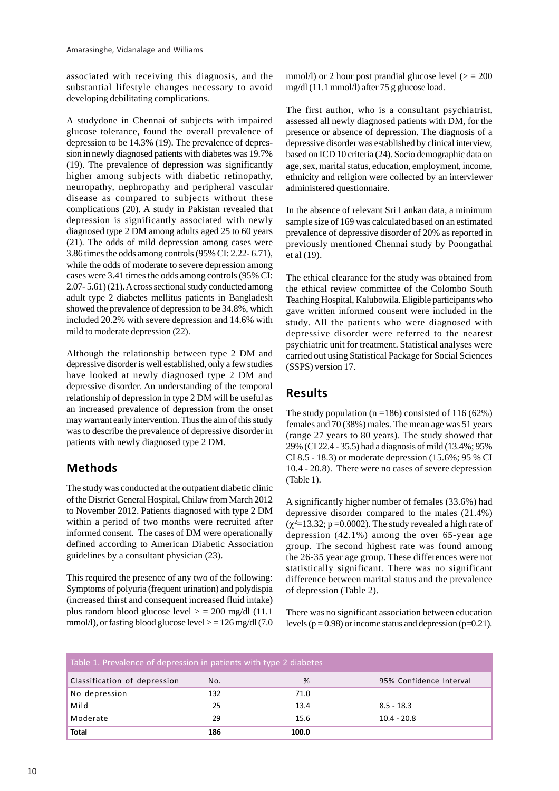associated with receiving this diagnosis, and the substantial lifestyle changes necessary to avoid developing debilitating complications.

A studydone in Chennai of subjects with impaired glucose tolerance, found the overall prevalence of depression to be 14.3% (19). The prevalence of depression in newly diagnosed patients with diabetes was 19.7% (19). The prevalence of depression was significantly higher among subjects with diabetic retinopathy, neuropathy, nephropathy and peripheral vascular disease as compared to subjects without these complications (20). A study in Pakistan revealed that depression is significantly associated with newly diagnosed type 2 DM among adults aged 25 to 60 years (21). The odds of mild depression among cases were 3.86 times the odds among controls (95% CI: 2.22- 6.71), while the odds of moderate to severe depression among cases were 3.41 times the odds among controls (95% CI: 2.07- 5.61) (21). A cross sectional study conducted among adult type 2 diabetes mellitus patients in Bangladesh showed the prevalence of depression to be 34.8%, which included 20.2% with severe depression and 14.6% with mild to moderate depression (22).

Although the relationship between type 2 DM and depressive disorder is well established, only a few studies have looked at newly diagnosed type 2 DM and depressive disorder. An understanding of the temporal relationship of depression in type 2 DM will be useful as an increased prevalence of depression from the onset may warrant early intervention. Thus the aim of this study was to describe the prevalence of depressive disorder in patients with newly diagnosed type 2 DM.

# **Methods**

The study was conducted at the outpatient diabetic clinic of the District General Hospital, Chilaw from March 2012 to November 2012. Patients diagnosed with type 2 DM within a period of two months were recruited after informed consent. The cases of DM were operationally defined according to American Diabetic Association guidelines by a consultant physician (23).

This required the presence of any two of the following: Symptoms of polyuria (frequent urination) and polydispia (increased thirst and consequent increased fluid intake) plus random blood glucose level  $>$  = 200 mg/dl (11.1) mmol/l), or fasting blood glucose level  $> = 126$  mg/dl (7.0)

mmol/l) or 2 hour post prandial glucose level  $(>= 200$ mg/dl (11.1 mmol/l) after 75 g glucose load.

The first author, who is a consultant psychiatrist, assessed all newly diagnosed patients with DM, for the presence or absence of depression. The diagnosis of a depressive disorder was established by clinical interview, based on ICD 10 criteria (24). Socio demographic data on age, sex, marital status, education, employment, income, ethnicity and religion were collected by an interviewer administered questionnaire.

In the absence of relevant Sri Lankan data, a minimum sample size of 169 was calculated based on an estimated prevalence of depressive disorder of 20% as reported in previously mentioned Chennai study by Poongathai et al (19).

The ethical clearance for the study was obtained from the ethical review committee of the Colombo South Teaching Hospital, Kalubowila. Eligible participants who gave written informed consent were included in the study. All the patients who were diagnosed with depressive disorder were referred to the nearest psychiatric unit for treatment. Statistical analyses were carried out using Statistical Package for Social Sciences (SSPS) version 17.

# **Results**

The study population ( $n = 186$ ) consisted of 116 (62%) females and 70 (38%) males. The mean age was 51 years (range 27 years to 80 years). The study showed that 29% (CI 22.4 - 35.5) had a diagnosis of mild (13.4%; 95% CI 8.5 - 18.3) or moderate depression (15.6%; 95 % CI 10.4 - 20.8). There were no cases of severe depression (Table 1).

A significantly higher number of females (33.6%) had depressive disorder compared to the males (21.4%)  $(\chi^2=13.32; p=0.0002)$ . The study revealed a high rate of depression (42.1%) among the over 65-year age group. The second highest rate was found among the 26-35 year age group. These differences were not statistically significant. There was no significant difference between marital status and the prevalence of depression (Table 2).

There was no significant association between education levels ( $p = 0.98$ ) or income status and depression ( $p = 0.21$ ).

| Table 1. Prevalence of depression in patients with type 2 diabetes |     |       |                         |  |  |  |
|--------------------------------------------------------------------|-----|-------|-------------------------|--|--|--|
| Classification of depression                                       | No. | %     | 95% Confidence Interval |  |  |  |
| No depression                                                      | 132 | 71.0  |                         |  |  |  |
| Mild                                                               | 25  | 13.4  | $8.5 - 18.3$            |  |  |  |
| Moderate                                                           | 29  | 15.6  | $10.4 - 20.8$           |  |  |  |
| <b>Total</b>                                                       | 186 | 100.0 |                         |  |  |  |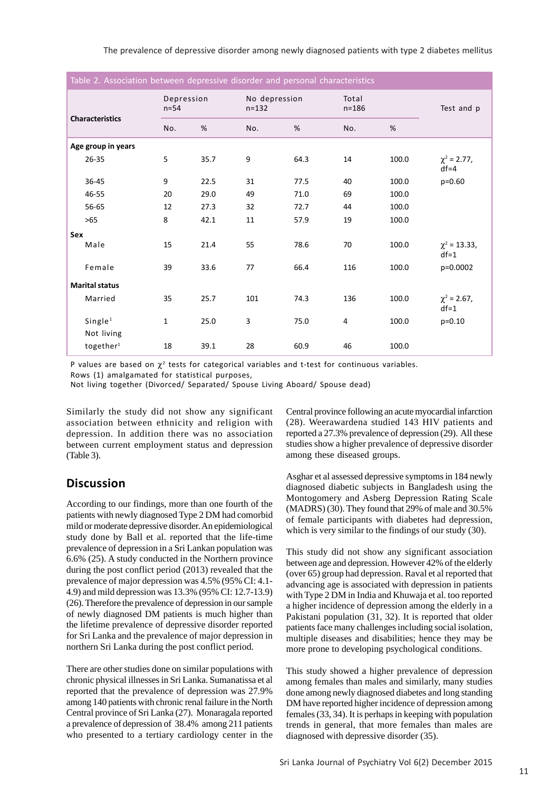| Table 2. Association between depressive disorder and personal characteristics |                       |                      |      |                            |      |                    |       |                              |
|-------------------------------------------------------------------------------|-----------------------|----------------------|------|----------------------------|------|--------------------|-------|------------------------------|
|                                                                               |                       | Depression<br>$n=54$ |      | No depression<br>$n = 132$ |      | Total<br>$n = 186$ |       | Test and p                   |
| <b>Characteristics</b>                                                        |                       | No.                  | $\%$ | No.                        | %    | No.                | %     |                              |
|                                                                               | Age group in years    |                      |      |                            |      |                    |       |                              |
|                                                                               | $26 - 35$             | 5                    | 35.7 | 9                          | 64.3 | 14                 | 100.0 | $\chi^2$ = 2.77,<br>$df = 4$ |
|                                                                               | 36-45                 | 9                    | 22.5 | 31                         | 77.5 | 40                 | 100.0 | $p=0.60$                     |
|                                                                               | 46-55                 | 20                   | 29.0 | 49                         | 71.0 | 69                 | 100.0 |                              |
|                                                                               | 56-65                 | 12                   | 27.3 | 32                         | 72.7 | 44                 | 100.0 |                              |
|                                                                               | >65                   | 8                    | 42.1 | 11                         | 57.9 | 19                 | 100.0 |                              |
| Sex                                                                           |                       |                      |      |                            |      |                    |       |                              |
|                                                                               | Male                  | 15                   | 21.4 | 55                         | 78.6 | 70                 | 100.0 | $\chi^2$ = 13.33,<br>$df=1$  |
|                                                                               | Female                | 39                   | 33.6 | 77                         | 66.4 | 116                | 100.0 | p=0.0002                     |
| <b>Marital status</b>                                                         |                       |                      |      |                            |      |                    |       |                              |
|                                                                               | Married               | 35                   | 25.7 | 101                        | 74.3 | 136                | 100.0 | $\chi^2$ = 2.67,<br>$df=1$   |
|                                                                               | Single <sup>1</sup>   | 1                    | 25.0 | 3                          | 75.0 | 4                  | 100.0 | $p=0.10$                     |
|                                                                               | Not living            |                      |      |                            |      |                    |       |                              |
|                                                                               | together <sup>1</sup> | 18                   | 39.1 | 28                         | 60.9 | 46                 | 100.0 |                              |

P values are based on  $\chi^2$  tests for categorical variables and t-test for continuous variables.

Rows (1) amalgamated for statistical purposes,

Not living together (Divorced/ Separated/ Spouse Living Aboard/ Spouse dead)

Similarly the study did not show any significant association between ethnicity and religion with depression. In addition there was no association between current employment status and depression (Table 3).

# **Discussion**

According to our findings, more than one fourth of the patients with newly diagnosed Type 2 DM had comorbid mild or moderate depressive disorder. An epidemiological study done by Ball et al. reported that the life-time prevalence of depression in a Sri Lankan population was 6.6% (25). A study conducted in the Northern province during the post conflict period (2013) revealed that the prevalence of major depression was 4.5% (95% CI: 4.1- 4.9) and mild depression was 13.3% (95% CI: 12.7-13.9) (26). Therefore the prevalence of depression in our sample of newly diagnosed DM patients is much higher than the lifetime prevalence of depressive disorder reported for Sri Lanka and the prevalence of major depression in northern Sri Lanka during the post conflict period.

There are other studies done on similar populations with chronic physical illnesses in Sri Lanka. Sumanatissa et al reported that the prevalence of depression was 27.9% among 140 patients with chronic renal failure in the North Central province of Sri Lanka (27). Monaragala reported a prevalence of depression of 38.4% among 211 patients who presented to a tertiary cardiology center in the

Central province following an acute myocardial infarction (28). Weerawardena studied 143 HIV patients and reported a 27.3% prevalence of depression (29). All these studies show a higher prevalence of depressive disorder among these diseased groups.

Asghar et al assessed depressive symptoms in 184 newly diagnosed diabetic subjects in Bangladesh using the Montogomery and Asberg Depression Rating Scale (MADRS) (30). They found that 29% of male and 30.5% of female participants with diabetes had depression, which is very similar to the findings of our study (30).

This study did not show any significant association between age and depression. However 42% of the elderly (over 65) group had depression. Raval et al reported that advancing age is associated with depression in patients with Type 2 DM in India and Khuwaja et al. too reported a higher incidence of depression among the elderly in a Pakistani population (31, 32). It is reported that older patients face many challenges including social isolation, multiple diseases and disabilities; hence they may be more prone to developing psychological conditions.

This study showed a higher prevalence of depression among females than males and similarly, many studies done among newly diagnosed diabetes and long standing DM have reported higher incidence of depression among females (33, 34). It is perhaps in keeping with population trends in general, that more females than males are diagnosed with depressive disorder (35).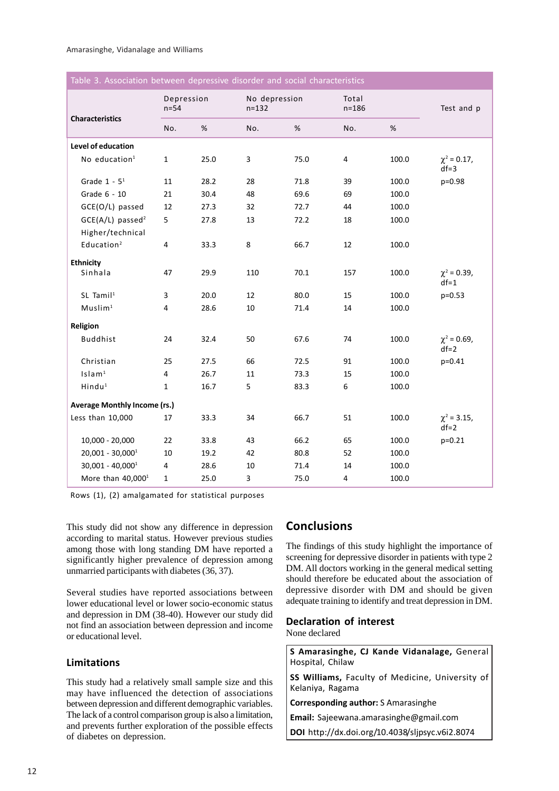| Table 3. Association between depressive disorder and social characteristics |  |  |
|-----------------------------------------------------------------------------|--|--|
|                                                                             |  |  |
|                                                                             |  |  |

| <b>Characteristics</b>              | Depression<br>$n=54$ |      | No depression<br>$n = 132$ |      | Total<br>$n = 186$ |       | Test and p                 |
|-------------------------------------|----------------------|------|----------------------------|------|--------------------|-------|----------------------------|
|                                     | No.                  | %    | No.                        | %    | No.                | %     |                            |
| Level of education                  |                      |      |                            |      |                    |       |                            |
| No education <sup>1</sup>           | $\mathbf{1}$         | 25.0 | 3                          | 75.0 | 4                  | 100.0 | $\chi^2$ = 0.17,<br>$df=3$ |
| Grade $1 - 5^1$                     | 11                   | 28.2 | 28                         | 71.8 | 39                 | 100.0 | p=0.98                     |
| Grade 6 - 10                        | 21                   | 30.4 | 48                         | 69.6 | 69                 | 100.0 |                            |
| GCE(O/L) passed                     | 12                   | 27.3 | 32                         | 72.7 | 44                 | 100.0 |                            |
| GCE(A/L) passed <sup>2</sup>        | 5                    | 27.8 | 13                         | 72.2 | 18                 | 100.0 |                            |
| Higher/technical                    |                      |      |                            |      |                    |       |                            |
| Education <sup>2</sup>              | $\overline{4}$       | 33.3 | 8                          | 66.7 | 12                 | 100.0 |                            |
| <b>Ethnicity</b>                    |                      |      |                            |      |                    |       |                            |
| Sinhala                             | 47                   | 29.9 | 110                        | 70.1 | 157                | 100.0 | $\chi^2$ = 0.39,<br>$df=1$ |
| $SL$ Tamil <sup>1</sup>             | 3                    | 20.0 | 12                         | 80.0 | 15                 | 100.0 | $p=0.53$                   |
| Muslim <sup>1</sup>                 | 4                    | 28.6 | 10                         | 71.4 | 14                 | 100.0 |                            |
| Religion                            |                      |      |                            |      |                    |       |                            |
| <b>Buddhist</b>                     | 24                   | 32.4 | 50                         | 67.6 | 74                 | 100.0 | $\chi^2$ = 0.69,<br>$df=2$ |
| Christian                           | 25                   | 27.5 | 66                         | 72.5 | 91                 | 100.0 | $p=0.41$                   |
| Islam <sup>1</sup>                  | 4                    | 26.7 | 11                         | 73.3 | 15                 | 100.0 |                            |
| Hindu <sup>1</sup>                  | $\mathbf{1}$         | 16.7 | 5                          | 83.3 | 6                  | 100.0 |                            |
| <b>Average Monthly Income (rs.)</b> |                      |      |                            |      |                    |       |                            |
| Less than 10,000                    | 17                   | 33.3 | 34                         | 66.7 | 51                 | 100.0 | $\chi^2$ = 3.15,<br>$df=2$ |
| $10,000 - 20,000$                   | 22                   | 33.8 | 43                         | 66.2 | 65                 | 100.0 | $p=0.21$                   |
| $20,001 - 30,0001$                  | 10                   | 19.2 | 42                         | 80.8 | 52                 | 100.0 |                            |
| $30,001 - 40,0001$                  | $\overline{4}$       | 28.6 | 10                         | 71.4 | 14                 | 100.0 |                            |
| More than $40,0001$                 | $\mathbf{1}$         | 25.0 | 3                          | 75.0 | 4                  | 100.0 |                            |

Rows (1), (2) amalgamated for statistical purposes

This study did not show any difference in depression according to marital status. However previous studies among those with long standing DM have reported a significantly higher prevalence of depression among unmarried participants with diabetes (36, 37).

Several studies have reported associations between lower educational level or lower socio-economic status and depression in DM (38-40). However our study did not find an association between depression and income or educational level.

### **Limitations**

This study had a relatively small sample size and this may have influenced the detection of associations between depression and different demographic variables. The lack of a control comparison group is also a limitation, and prevents further exploration of the possible effects of diabetes on depression.

# **Conclusions**

The findings of this study highlight the importance of screening for depressive disorder in patients with type 2 DM. All doctors working in the general medical setting should therefore be educated about the association of depressive disorder with DM and should be given adequate training to identify and treat depression in DM.

### **Declaration of interest**

None declared

**S Amarasinghe, CJ Kande Vidanalage,** General Hospital, Chilaw

**SS Williams,** Faculty of Medicine, University of Kelaniya, Ragama

**Corresponding author:** S Amarasinghe

**Email:** Sajeewana.amarasinghe@gmail.com

**DOI** http://dx.doi.org/10.4038/sljpsyc.v6i2.8074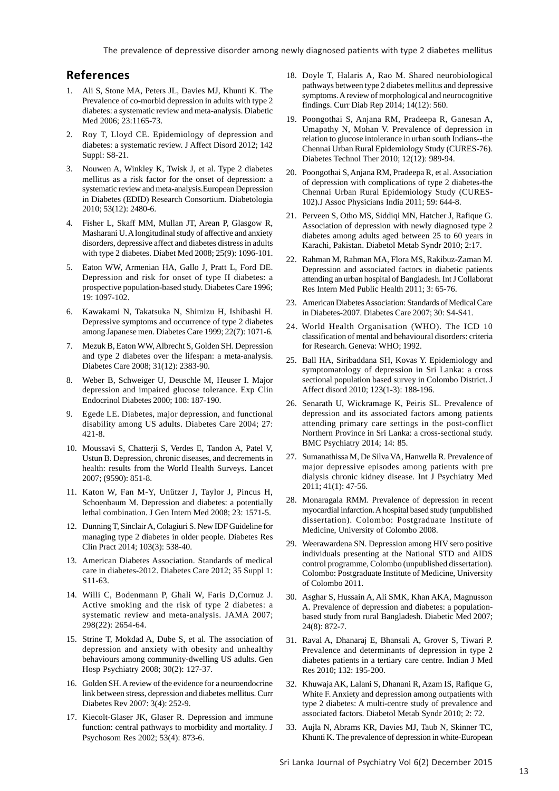# **References**

- 1. Ali S, Stone MA, Peters JL, Davies MJ, Khunti K. The Prevalence of co-morbid depression in adults with type 2 diabetes: a systematic review and meta-analysis. Diabetic Med 2006; 23:1165-73.
- 2. Roy T, Lloyd CE. Epidemiology of depression and diabetes: a systematic review. J Affect Disord 2012; 142 Suppl: S8-21.
- 3. Nouwen A, Winkley K, Twisk J, et al. Type 2 diabetes mellitus as a risk factor for the onset of depression: a systematic review and meta-analysis.European Depression in Diabetes (EDID) Research Consortium. Diabetologia 2010; 53(12): 2480-6.
- 4. Fisher L, Skaff MM, Mullan JT, Arean P, Glasgow R, Masharani U. A longitudinal study of affective and anxiety disorders, depressive affect and diabetes distress in adults with type 2 diabetes. Diabet Med 2008; 25(9): 1096-101.
- 5. Eaton WW, Armenian HA, Gallo J, Pratt L, Ford DE. Depression and risk for onset of type II diabetes: a prospective population-based study. Diabetes Care 1996; 19: 1097-102.
- 6. Kawakami N, Takatsuka N, Shimizu H, Ishibashi H. Depressive symptoms and occurrence of type 2 diabetes among Japanese men. Diabetes Care 1999; 22(7): 1071-6.
- 7. Mezuk B, Eaton WW, Albrecht S, Golden SH. Depression and type 2 diabetes over the lifespan: a meta-analysis. Diabetes Care 2008; 31(12): 2383-90.
- 8. Weber B, Schweiger U, Deuschle M, Heuser I. Major depression and impaired glucose tolerance. Exp Clin Endocrinol Diabetes 2000; 108: 187-190.
- 9. Egede LE. Diabetes, major depression, and functional disability among US adults. Diabetes Care 2004; 27: 421-8.
- 10. Moussavi S, Chatterji S, Verdes E, Tandon A, Patel V, Ustun B. Depression, chronic diseases, and decrements in health: results from the World Health Surveys. Lancet 2007; (9590): 851-8.
- 11. Katon W, Fan M-Y, Unützer J, Taylor J, Pincus H, Schoenbaum M. Depression and diabetes: a potentially lethal combination. J Gen Intern Med 2008; 23: 1571-5.
- 12. Dunning T, Sinclair A, Colagiuri S. New IDF Guideline for managing type 2 diabetes in older people. Diabetes Res Clin Pract 2014; 103(3): 538-40.
- 13. American Diabetes Association. Standards of medical care in diabetes-2012. Diabetes Care 2012; 35 Suppl 1: S11-63.
- 14. Willi C, Bodenmann P, Ghali W, Faris D,Cornuz J. Active smoking and the risk of type 2 diabetes: a systematic review and meta-analysis. JAMA 2007; 298(22): 2654-64.
- 15. Strine T, Mokdad A, Dube S, et al. The association of depression and anxiety with obesity and unhealthy behaviours among community-dwelling US adults. Gen Hosp Psychiatry 2008; 30(2): 127-37.
- 16. Golden SH. A review of the evidence for a neuroendocrine link between stress, depression and diabetes mellitus. Curr Diabetes Rev 2007: 3(4): 252-9.
- 17. Kiecolt-Glaser JK, Glaser R. Depression and immune function: central pathways to morbidity and mortality. J Psychosom Res 2002; 53(4): 873-6.
- 18. Doyle T, Halaris A, Rao M. Shared neurobiological pathways between type 2 diabetes mellitus and depressive symptoms. A review of morphological and neurocognitive findings. Curr Diab Rep 2014; 14(12): 560.
- 19. Poongothai S, Anjana RM, Pradeepa R, Ganesan A, Umapathy N, Mohan V. Prevalence of depression in relation to glucose intolerance in urban south Indians--the Chennai Urban Rural Epidemiology Study (CURES-76). Diabetes Technol Ther 2010; 12(12): 989-94.
- 20. Poongothai S, Anjana RM, Pradeepa R, et al. Association of depression with complications of type 2 diabetes-the Chennai Urban Rural Epidemiology Study (CURES-102).J Assoc Physicians India 2011; 59: 644-8.
- 21. Perveen S, Otho MS, Siddiqi MN, Hatcher J, Rafique G. Association of depression with newly diagnosed type 2 diabetes among adults aged between 25 to 60 years in Karachi, Pakistan. Diabetol Metab Syndr 2010; 2:17.
- 22. Rahman M, Rahman MA, Flora MS, Rakibuz-Zaman M. Depression and associated factors in diabetic patients attending an urban hospital of Bangladesh. Int J Collaborat Res Intern Med Public Health 2011; 3: 65-76.
- 23. American Diabetes Association: Standards of Medical Care in Diabetes-2007. Diabetes Care 2007; 30: S4-S41.
- 24. World Health Organisation (WHO). The ICD 10 classification of mental and behavioural disorders: criteria for Research. Geneva: WHO; 1992.
- 25. Ball HA, Siribaddana SH, Kovas Y. Epidemiology and symptomatology of depression in Sri Lanka: a cross sectional population based survey in Colombo District. J Affect disord 2010; 123(1-3): 188-196.
- 26. Senarath U, Wickramage K, Peiris SL. Prevalence of depression and its associated factors among patients attending primary care settings in the post-conflict Northern Province in Sri Lanka: a cross-sectional study. BMC Psychiatry 2014; 14: 85.
- 27. Sumanathissa M, De Silva VA, Hanwella R. Prevalence of major depressive episodes among patients with pre dialysis chronic kidney disease. Int J Psychiatry Med 2011; 41(1): 47-56.
- 28. Monaragala RMM. Prevalence of depression in recent myocardial infarction. A hospital based study (unpublished dissertation). Colombo: Postgraduate Institute of Medicine, University of Colombo 2008.
- 29. Weerawardena SN. Depression among HIV sero positive individuals presenting at the National STD and AIDS control programme, Colombo (unpublished dissertation). Colombo: Postgraduate Institute of Medicine, University of Colombo 2011.
- 30. Asghar S, Hussain A, Ali SMK, Khan AKA, Magnusson A. Prevalence of depression and diabetes: a populationbased study from rural Bangladesh. Diabetic Med 2007; 24(8): 872-7.
- 31. Raval A, Dhanaraj E, Bhansali A, Grover S, Tiwari P. Prevalence and determinants of depression in type 2 diabetes patients in a tertiary care centre. Indian J Med Res 2010; 132: 195-200.
- 32. Khuwaja AK, Lalani S, Dhanani R, Azam IS, Rafique G, White F. Anxiety and depression among outpatients with type 2 diabetes: A multi-centre study of prevalence and associated factors. Diabetol Metab Syndr 2010; 2: 72.
- 33. Aujla N, Abrams KR, Davies MJ, Taub N, Skinner TC, Khunti K. The prevalence of depression in white-European